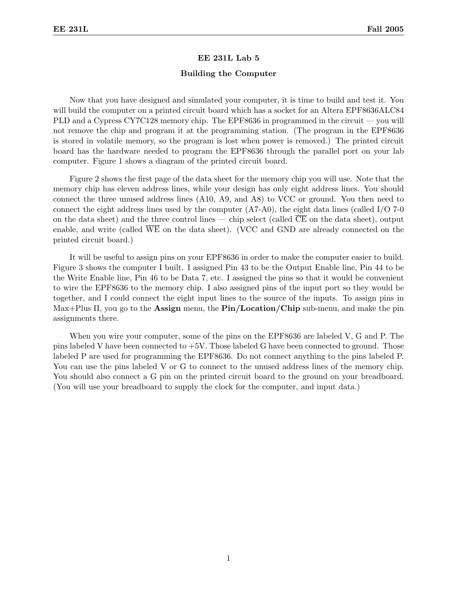## EE 231L Lab 5

### Building the Computer

Now that you have designed and simulated your computer, it is time to build and test it. You will build the computer on a printed circuit board which has a socket for an Altera EPF8636ALC84 PLD and a Cypress CY7C128 memory chip. The EPF8636 in programmed in the circuit — you will not remove the chip and program it at the programming station. (The program in the EPF8636 is stored in volatile memory, so the program is lost when power is removed.) The printed circuit board has the hardware needed to program the EPF8636 through the parallel port on your lab computer. Figure 1 shows a diagram of the printed circuit board.

Figure 2 shows the first page of the data sheet for the memory chip you will use. Note that the memory chip has eleven address lines, while your design has only eight address lines. You should connect the three unused address lines (A10, A9, and A8) to VCC or ground. You then need to connect the eight address lines used by the computer  $(A7-A0)$ , the eight data lines (called I/O 7-0 on the data sheet) and the three control lines — chip select (called CE on the data sheet), output enable, and write (called WE on the data sheet). (VCC and GND are already connected on the printed circuit board.)

It will be useful to assign pins on your EPF8636 in order to make the computer easier to build. Figure 3 shows the computer I built. I assigned Pin 43 to be the Output Enable line, Pin 44 to be the Write Enable line, Pin 46 to be Data 7, etc. I assigned the pins so that it would be convenient to wire the EPF8636 to the memory chip. I also assigned pins of the input port so they would be together, and I could connect the eight input lines to the source of the inputs. To assign pins in Max+Plus II, you go to the **Assign** menu, the  $\text{Pin}/\text{Location}/\text{Chip}$  sub-menu, and make the pin assignments there.

When you wire your computer, some of the pins on the EPF8636 are labeled V, G and P. The pins labeled V have been connected to  $+5V$ . Those labeled G have been connected to ground. Those labeled P are used for programming the EPF8636. Do not connect anything to the pins labeled P. You can use the pins labeled V or G to connect to the unused address lines of the memory chip. You should also connect a G pin on the printed circuit board to the ground on your breadboard. (You will use your breadboard to supply the clock for the computer, and input data.)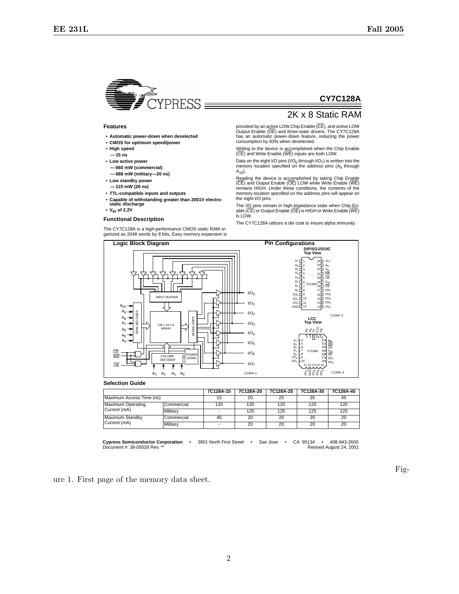

#### **Features**

- **• Automatic power-down when deselected**
- **• CMOS for optimum speed/power**
- **• High speed — 15 ns**
- **• Low active power — 660 mW (commercial)**
- **— 688 mW (military—20 ns) • Low standby power**
- **— 110 mW (20 ns)**
- **• TTL-compatible inputs and outputs**
- **• Capable of withstanding greater than 2001V electro-static discharge**
- **• VIH of 2.2V**

#### **Functional Description**

The CY7C128A is a high-performance CMOS static RAM or-ganized as 2048 words by 8 bits. Easy memory expansion is

# **CY7C128A**

## 2K x 8 Static RAM

provided by an active LOW Chip Enable (CE), and active LOW Output Enable (OE) and three-state drivers. The CY7C128A has an automatic power-down feature, reducing the power consumption by 83% when deselected.

Writing to the device is accomplished when the Chip Enable (CE) and Write Enable (WE) inputs are both LOW.

Data on the eight I/O pins (I/O<sub>0</sub> through I/O<sub>7</sub>) is written into the memory location specified on the address pins  $(A<sub>0</sub>$  through  $A_{10}$ ).

Reading the device is accomplished by taking Chip Enable (CE) and Output Enable (OE) LOW while Write Enable (WE) remains HIGH. Under these conditions, the contents of the memory location specified on the address pins will appear on the eight I/O pins.

The I/O pins remain in high<u>-im</u>pedance state when Chip <u>En</u>-<br>able (CE) or Output Enable (OE) is HIGH or Write Enable (WE) is LOW.

The CY7C128A utilizes a die coat to insure alpha immunity.



|                                   |            | 7C128A-15 | 7C128A-20 | 7C128A-25 | 7C128A-35 | 7C128A-45 |
|-----------------------------------|------------|-----------|-----------|-----------|-----------|-----------|
| Maximum Access Time (ns)          |            | 15        | 20        | 25        | 35        | 45        |
| Maximum Operating<br>Current (mA) | Commercial | 120       | 120       | 120       | 120       | 120       |
|                                   | Military   |           | 125       | 125       | 125       | 125       |
| Maximum Standby<br>Current (mA)   | Commercial | 40        | 20        | 20        | 20        | 20        |
|                                   | Military   |           | 20        | 20        | 20        | 20        |

**Cypress Semiconductor Corporation** • 3901 North First Street • San Jose • CA 95134 • 408-943-2600 Document #: 38-05028 Rev.

ure 1. First page of the memory data sheet.

Fig-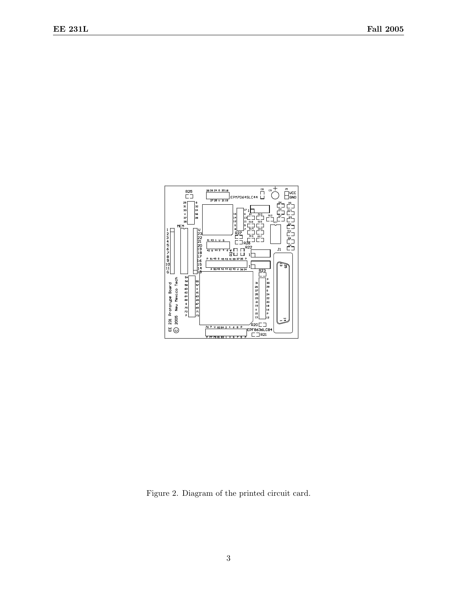

Figure 2. Diagram of the printed circuit card.